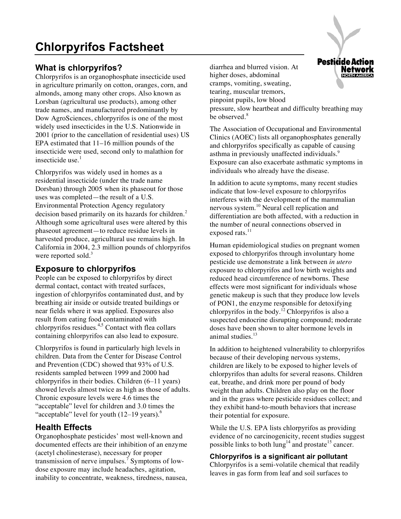# **What is chlorpyrifos?**

Chlorpyrifos is an organophosphate insecticide used in agriculture primarily on cotton, oranges, corn, and almonds, among many other crops. Also known as Lorsban (agricultural use products), among other trade names, and manufactured predominantly by Dow AgroSciences, chlorpyrifos is one of the most widely used insecticides in the U.S. Nationwide in 2001 (prior to the cancellation of residential uses) US EPA estimated that 11–16 million pounds of the insecticide were used, second only to malathion for insecticide use. $<sup>1</sup>$ </sup>

Chlorpyrifos was widely used in homes as a residential insecticide (under the trade name Dorsban) through 2005 when its phaseout for those uses was completed—the result of a U.S. Environmental Protection Agency regulatory decision based primarily on its hazards for children.<sup>2</sup> Although some agricultural uses were altered by this phaseout agreement—to reduce residue levels in harvested produce, agricultural use remains high. In California in 2004, 2.3 million pounds of chlorpyrifos were reported sold. $3$ 

## **Exposure to chlorpyrifos**

People can be exposed to chlorpyrifos by direct dermal contact, contact with treated surfaces, ingestion of chlorpyrifos contaminated dust, and by breathing air inside or outside treated buildings or near fields where it was applied. Exposures also result from eating food contaminated with  $chlorpyrifos residues.<sup>4,5</sup> Contact with the$ containing chlorpyrifos can also lead to exposure.

Chlorpyrifos is found in particularly high levels in children. Data from the Center for Disease Control and Prevention (CDC) showed that 93% of U.S. residents sampled between 1999 and 2000 had chlorpyrifos in their bodies. Children (6–11 years) showed levels almost twice as high as those of adults. Chronic exposure levels were 4.6 times the "acceptable" level for children and 3.0 times the "acceptable" level for youth  $(12-19 \text{ years})$ .

## **Health Effects**

Organophosphate pesticides' most well-known and documented effects are their inhibition of an enzyme (acetyl cholinesterase), necessary for proper transmission of nerve impulses.<sup>7</sup> Symptoms of lowdose exposure may include headaches, agitation, inability to concentrate, weakness, tiredness, nausea,

diarrhea and blurred vision. At higher doses, abdominal cramps, vomiting, sweating, tearing, muscular tremors, pinpoint pupils, low blood pressure, slow heartbeat and difficulty breathing may be observed.<sup>8</sup>

The Association of Occupational and Environmental Clinics (AOEC) lists all organophosphates generally and chlorpyrifos specifically as capable of causing asthma in previously unaffected individuals.<sup>9</sup> Exposure can also exacerbate asthmatic symptoms in individuals who already have the disease.

In addition to acute symptoms, many recent studies indicate that low-level exposure to chlorpyrifos interferes with the development of the mammalian nervous system.<sup>10</sup> Neural cell replication and differentiation are both affected, with a reduction in the number of neural connections observed in exposed rats. $^{11}$ 

Human epidemiological studies on pregnant women exposed to chlorpyrifos through involuntary home pesticide use demonstrate a link between *in utero*  exposure to chlorpyrifos and low birth weights and reduced head circumference of newborns. These effects were most significant for individuals whose genetic makeup is such that they produce low levels of PON1, the enzyme responsible for detoxifying chlorpyrifos in the body.<sup>12</sup> Chlorpyrifos is also a suspected endocrine disrupting compound; moderate doses have been shown to alter hormone levels in animal studies.<sup>13</sup>

In addition to heightened vulnerability to chlorpyrifos because of their developing nervous systems, children are likely to be exposed to higher levels of chlorpyrifos than adults for several reasons. Children eat, breathe, and drink more per pound of body weight than adults. Children also play on the floor and in the grass where pesticide residues collect; and they exhibit hand-to-mouth behaviors that increase their potential for exposure.

While the U.S. EPA lists chlorpyrifos as providing evidence of no carcinogenicity, recent studies suggest possible links to both  $\lim_{n \to \infty} 1^4$  and prostate<sup>15</sup> cancer.

### **Chlorpyrifos is a significant air pollutant**

Chlorpyrifos is a semi-volatile chemical that readily leaves in gas form from leaf and soil surfaces to